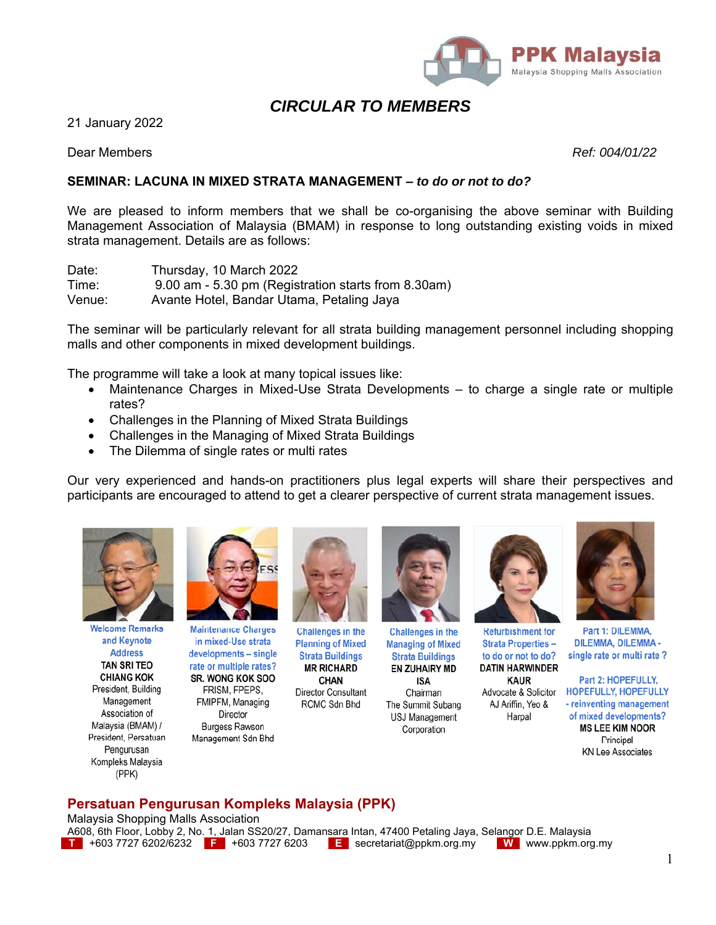

# *CIRCULAR TO MEMBERS*

21 January 2022

Dear Members *Ref: 004/01/22*

## **SEMINAR: LACUNA IN MIXED STRATA MANAGEMENT –** *to do or not to do?*

We are pleased to inform members that we shall be co-organising the above seminar with Building Management Association of Malaysia (BMAM) in response to long outstanding existing voids in mixed strata management. Details are as follows:

Date: Thursday, 10 March 2022 Time: 9.00 am - 5.30 pm (Registration starts from 8.30am) Venue: Avante Hotel, Bandar Utama, Petaling Jaya

The seminar will be particularly relevant for all strata building management personnel including shopping malls and other components in mixed development buildings.

The programme will take a look at many topical issues like:

- Maintenance Charges in Mixed-Use Strata Developments to charge a single rate or multiple rates?
- Challenges in the Planning of Mixed Strata Buildings
- Challenges in the Managing of Mixed Strata Buildings
- The Dilemma of single rates or multi rates

Our very experienced and hands-on practitioners plus legal experts will share their perspectives and participants are encouraged to attend to get a clearer perspective of current strata management issues.



**Welcome Remarks** and Keynote **Address TAN SRI TEO CHIANG KOK** President, Building Management Association of Malaysia (BMAM) / President, Persatuan Pengurusan Kompleks Malaysia (PPK)



**Maintenance Charges** in mixed-Use strata developments - single rate or multiple rates? **SR. WONG KOK SOO** FRISM, FPEPS,

FMIPFM, Managing Director Burgess Rawson Management Sdn Bhd



**Challenges in the Planning of Mixed Strata Buildings MR RICHARD CHAN** Director Consultant

RCMC Sdn Bhd



**Managing of Mixed Strata Buildings EN ZUHAIRY MD** 

ISA Chairman The Summit Subang USJ Management Corporation



**Refurbishment for Strata Properties** to do or not to do? **DATIN HARWINDER** 

**KAUR** Advocate & Solicitor AJ Ariffin, Yeo & Harpal



Part 1: DILEMMA. **DILEMMA, DILEMMA** single rate or multi rate?

Part 2: HOPEFULLY, HOPEFULLY, HOPEFULLY - reinventing management of mixed developments? **MS LEE KIM NOOR** Principal **KN Lee Associates** 

## **Persatuan Pengurusan Kompleks Malaysia (PPK)**

Malaysia Shopping Malls Association

A608, 6th Floor, Lobby 2, No. 1, Jalan SS20/27, Damansara Intan, 47400 Petaling Jaya, Selangor D.E. Malaysia **T** +603 7727 6202/6232 **F** +603 7727 6203 **E** secretariat@ppkm.org.my **W** www.ppkm.org.my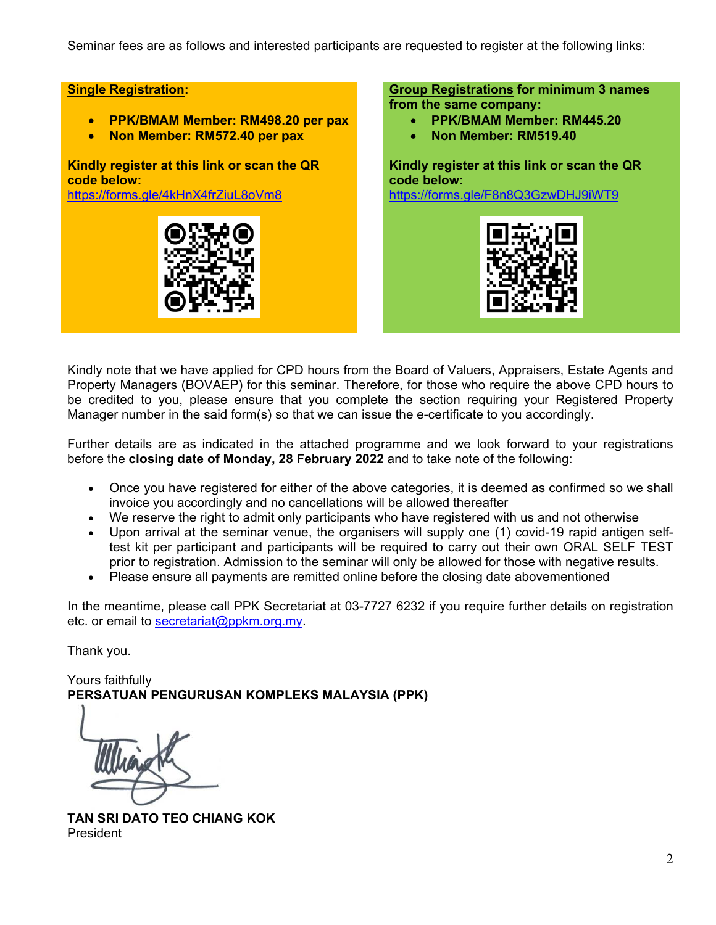Seminar fees are as follows and interested participants are requested to register at the following links:

## **Single Registration:**

- **PPK/BMAM Member: RM498.20 per pax**
- **Non Member: RM572.40 per pax**

**Kindly register at this link or scan the QR code below:**

https://forms.gle/4kHnX4frZiuL8oVm8



#### **Group Registrations for minimum 3 names from the same company:**

- **PPK/BMAM Member: RM445.20**
- **Non Member: RM519.40**

**Kindly register at this link or scan the QR code below:** https://forms.gle/F8n8Q3GzwDHJ9iWT9



Kindly note that we have applied for CPD hours from the Board of Valuers, Appraisers, Estate Agents and Property Managers (BOVAEP) for this seminar. Therefore, for those who require the above CPD hours to be credited to you, please ensure that you complete the section requiring your Registered Property Manager number in the said form(s) so that we can issue the e-certificate to you accordingly.

Further details are as indicated in the attached programme and we look forward to your registrations before the **closing date of Monday, 28 February 2022** and to take note of the following:

- Once you have registered for either of the above categories, it is deemed as confirmed so we shall invoice you accordingly and no cancellations will be allowed thereafter
- We reserve the right to admit only participants who have registered with us and not otherwise
- Upon arrival at the seminar venue, the organisers will supply one (1) covid-19 rapid antigen selftest kit per participant and participants will be required to carry out their own ORAL SELF TEST prior to registration. Admission to the seminar will only be allowed for those with negative results.
- Please ensure all payments are remitted online before the closing date abovementioned

In the meantime, please call PPK Secretariat at 03-7727 6232 if you require further details on registration etc. or email to secretariat@ppkm.org.my.

Thank you.

Yours faithfully **PERSATUAN PENGURUSAN KOMPLEKS MALAYSIA (PPK)** 

**TAN SRI DATO TEO CHIANG KOK**  President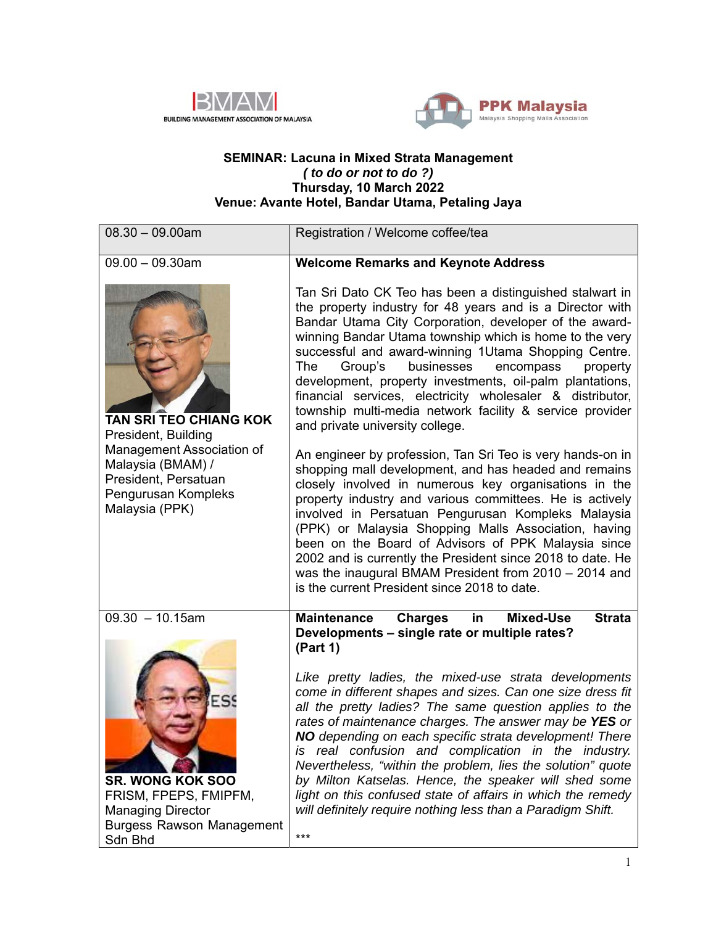



#### **SEMINAR: Lacuna in Mixed Strata Management**  *( to do or not to do ?)*  **Thursday, 10 March 2022 Venue: Avante Hotel, Bandar Utama, Petaling Jaya**

| $08.30 - 09.00am$                                                                                                                                                | Registration / Welcome coffee/tea                                                                                                                                                                                                                                                                                                                                                                                                                                                                                                                                                                                                                                                                                                                                         |
|------------------------------------------------------------------------------------------------------------------------------------------------------------------|---------------------------------------------------------------------------------------------------------------------------------------------------------------------------------------------------------------------------------------------------------------------------------------------------------------------------------------------------------------------------------------------------------------------------------------------------------------------------------------------------------------------------------------------------------------------------------------------------------------------------------------------------------------------------------------------------------------------------------------------------------------------------|
| $09.00 - 09.30$ am                                                                                                                                               | <b>Welcome Remarks and Keynote Address</b>                                                                                                                                                                                                                                                                                                                                                                                                                                                                                                                                                                                                                                                                                                                                |
| TAN SRI TEO CHIANG KOK<br>President, Building<br>Management Association of<br>Malaysia (BMAM) /<br>President, Persatuan<br>Pengurusan Kompleks<br>Malaysia (PPK) | Tan Sri Dato CK Teo has been a distinguished stalwart in<br>the property industry for 48 years and is a Director with<br>Bandar Utama City Corporation, developer of the award-<br>winning Bandar Utama township which is home to the very<br>successful and award-winning 1Utama Shopping Centre.<br>businesses<br>The<br>Group's<br>encompass<br>property<br>development, property investments, oil-palm plantations,<br>financial services, electricity wholesaler & distributor,<br>township multi-media network facility & service provider<br>and private university college.                                                                                                                                                                                       |
|                                                                                                                                                                  | An engineer by profession, Tan Sri Teo is very hands-on in<br>shopping mall development, and has headed and remains<br>closely involved in numerous key organisations in the<br>property industry and various committees. He is actively<br>involved in Persatuan Pengurusan Kompleks Malaysia<br>(PPK) or Malaysia Shopping Malls Association, having<br>been on the Board of Advisors of PPK Malaysia since<br>2002 and is currently the President since 2018 to date. He<br>was the inaugural BMAM President from 2010 - 2014 and<br>is the current President since 2018 to date.                                                                                                                                                                                      |
| $09.30 - 10.15$ am<br><b>SR. WONG KOK SOO</b><br>FRISM, FPEPS, FMIPFM,<br><b>Managing Director</b><br><b>Burgess Rawson Management</b><br>Sdn Bhd                | <b>Charges</b><br><b>Mixed-Use</b><br><b>Strata</b><br><b>Maintenance</b><br>in<br>Developments - single rate or multiple rates?<br>(Part 1)<br>Like pretty ladies, the mixed-use strata developments<br>come in different shapes and sizes. Can one size dress fit<br>all the pretty ladies? The same question applies to the<br>rates of maintenance charges. The answer may be YES or<br>NO depending on each specific strata development! There<br>is real confusion and complication in the industry.<br>Nevertheless, "within the problem, lies the solution" quote<br>by Milton Katselas. Hence, the speaker will shed some<br>light on this confused state of affairs in which the remedy<br>will definitely require nothing less than a Paradigm Shift.<br>$***$ |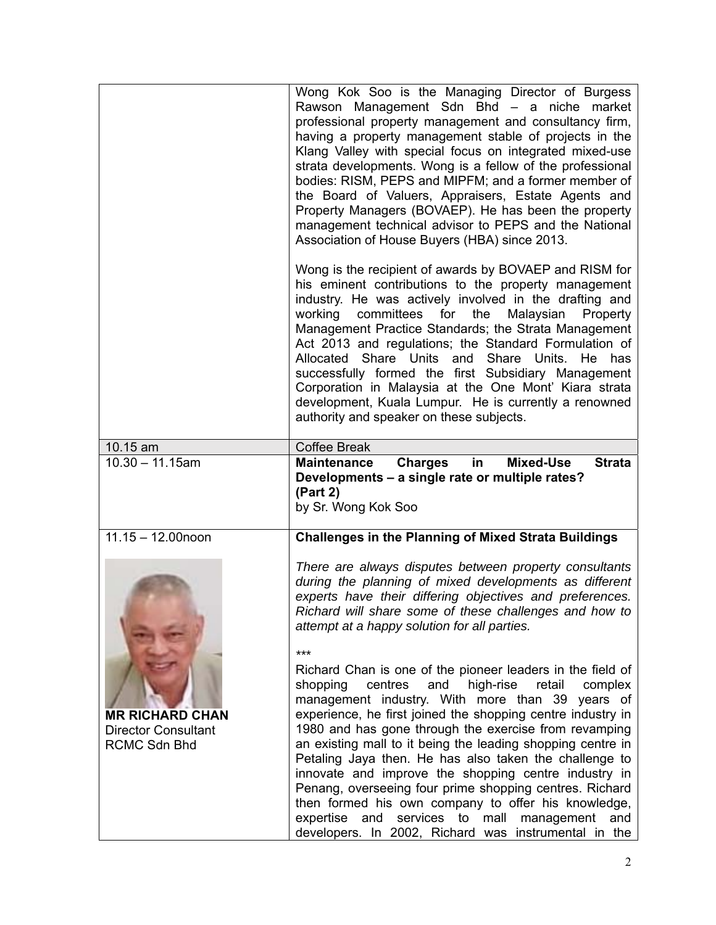|                      | Wong Kok Soo is the Managing Director of Burgess<br>Rawson Management Sdn Bhd - a niche market<br>professional property management and consultancy firm,<br>having a property management stable of projects in the<br>Klang Valley with special focus on integrated mixed-use<br>strata developments. Wong is a fellow of the professional<br>bodies: RISM, PEPS and MIPFM; and a former member of<br>the Board of Valuers, Appraisers, Estate Agents and<br>Property Managers (BOVAEP). He has been the property<br>management technical advisor to PEPS and the National<br>Association of House Buyers (HBA) since 2013.        |
|----------------------|------------------------------------------------------------------------------------------------------------------------------------------------------------------------------------------------------------------------------------------------------------------------------------------------------------------------------------------------------------------------------------------------------------------------------------------------------------------------------------------------------------------------------------------------------------------------------------------------------------------------------------|
|                      | Wong is the recipient of awards by BOVAEP and RISM for<br>his eminent contributions to the property management<br>industry. He was actively involved in the drafting and<br>working<br>committees<br>for<br>the<br>Malaysian<br>Property<br>Management Practice Standards; the Strata Management<br>Act 2013 and regulations; the Standard Formulation of<br>Allocated Share Units and Share Units.<br>He has<br>successfully formed the first Subsidiary Management<br>Corporation in Malaysia at the One Mont' Kiara strata<br>development, Kuala Lumpur. He is currently a renowned<br>authority and speaker on these subjects. |
| 10.15 am             | <b>Coffee Break</b>                                                                                                                                                                                                                                                                                                                                                                                                                                                                                                                                                                                                                |
| $10.30 - 11.15$ am   | <b>Mixed-Use</b><br><b>Charges</b><br><b>Strata</b><br><b>Maintenance</b><br>in<br>Developments - a single rate or multiple rates?                                                                                                                                                                                                                                                                                                                                                                                                                                                                                                 |
|                      | (Part 2)<br>by Sr. Wong Kok Soo                                                                                                                                                                                                                                                                                                                                                                                                                                                                                                                                                                                                    |
| $11.15 - 12.00$ noon | <b>Challenges in the Planning of Mixed Strata Buildings</b>                                                                                                                                                                                                                                                                                                                                                                                                                                                                                                                                                                        |
|                      | There are always disputes between property consultants<br>during the planning of mixed developments as different<br>experts have their differing objectives and preferences.<br>Richard will share some of these challenges and how to<br>attempt at a happy solution for all parties.<br>***                                                                                                                                                                                                                                                                                                                                      |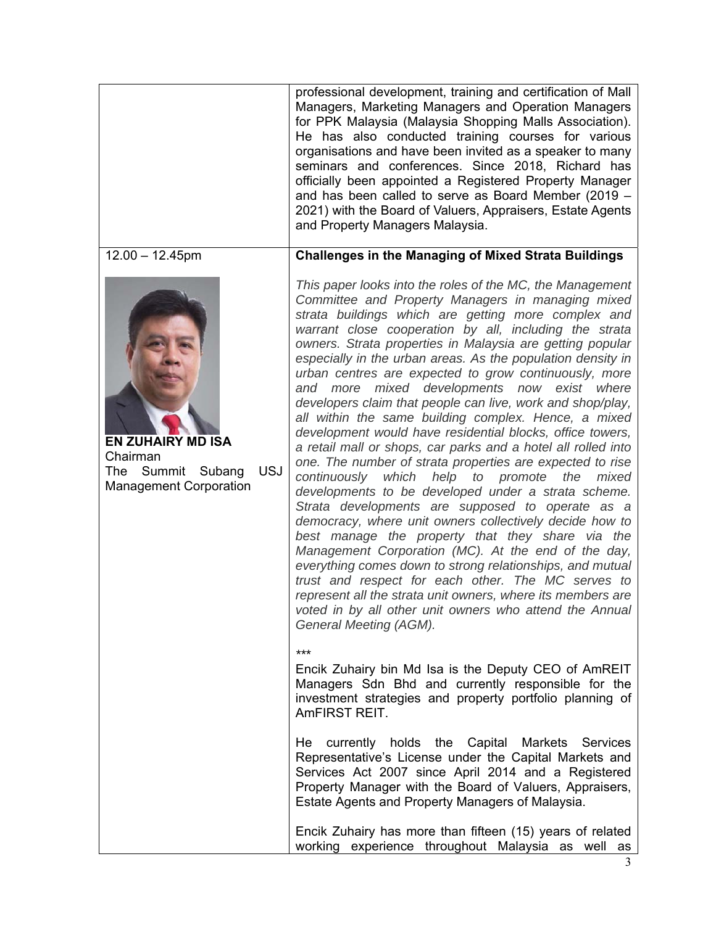|                                                                                                          | professional development, training and certification of Mall<br>Managers, Marketing Managers and Operation Managers<br>for PPK Malaysia (Malaysia Shopping Malls Association).<br>He has also conducted training courses for various<br>organisations and have been invited as a speaker to many<br>seminars and conferences. Since 2018, Richard has<br>officially been appointed a Registered Property Manager<br>and has been called to serve as Board Member (2019 -<br>2021) with the Board of Valuers, Appraisers, Estate Agents<br>and Property Managers Malaysia.                                                                                                                                                                                                                                                                                                                                                                                                                                                                                                                                                                                                                                                                                                                                                                                                                                |
|----------------------------------------------------------------------------------------------------------|----------------------------------------------------------------------------------------------------------------------------------------------------------------------------------------------------------------------------------------------------------------------------------------------------------------------------------------------------------------------------------------------------------------------------------------------------------------------------------------------------------------------------------------------------------------------------------------------------------------------------------------------------------------------------------------------------------------------------------------------------------------------------------------------------------------------------------------------------------------------------------------------------------------------------------------------------------------------------------------------------------------------------------------------------------------------------------------------------------------------------------------------------------------------------------------------------------------------------------------------------------------------------------------------------------------------------------------------------------------------------------------------------------|
| $12.00 - 12.45$ pm                                                                                       | <b>Challenges in the Managing of Mixed Strata Buildings</b>                                                                                                                                                                                                                                                                                                                                                                                                                                                                                                                                                                                                                                                                                                                                                                                                                                                                                                                                                                                                                                                                                                                                                                                                                                                                                                                                              |
| <b>EN ZUHAIRY MD ISA</b><br>Chairman<br><b>USJ</b><br>The Summit Subang<br><b>Management Corporation</b> | This paper looks into the roles of the MC, the Management<br>Committee and Property Managers in managing mixed<br>strata buildings which are getting more complex and<br>warrant close cooperation by all, including the strata<br>owners. Strata properties in Malaysia are getting popular<br>especially in the urban areas. As the population density in<br>urban centres are expected to grow continuously, more<br>and more mixed developments now exist where<br>developers claim that people can live, work and shop/play,<br>all within the same building complex. Hence, a mixed<br>development would have residential blocks, office towers,<br>a retail mall or shops, car parks and a hotel all rolled into<br>one. The number of strata properties are expected to rise<br>help to promote<br>continuously<br>which<br>the<br>mixed<br>developments to be developed under a strata scheme.<br>Strata developments are supposed to operate as a<br>democracy, where unit owners collectively decide how to<br>best manage the property that they share via the<br>Management Corporation (MC). At the end of the day,<br>everything comes down to strong relationships, and mutual<br>trust and respect for each other. The MC serves to<br>represent all the strata unit owners, where its members are<br>voted in by all other unit owners who attend the Annual<br>General Meeting (AGM). |
|                                                                                                          | ***<br>Encik Zuhairy bin Md Isa is the Deputy CEO of AmREIT<br>Managers Sdn Bhd and currently responsible for the<br>investment strategies and property portfolio planning of<br>AmFIRST REIT.                                                                                                                                                                                                                                                                                                                                                                                                                                                                                                                                                                                                                                                                                                                                                                                                                                                                                                                                                                                                                                                                                                                                                                                                           |
|                                                                                                          | currently holds the Capital Markets Services<br>He<br>Representative's License under the Capital Markets and<br>Services Act 2007 since April 2014 and a Registered<br>Property Manager with the Board of Valuers, Appraisers,<br>Estate Agents and Property Managers of Malaysia.                                                                                                                                                                                                                                                                                                                                                                                                                                                                                                                                                                                                                                                                                                                                                                                                                                                                                                                                                                                                                                                                                                                       |
|                                                                                                          | Encik Zuhairy has more than fifteen (15) years of related<br>working experience throughout Malaysia as well as                                                                                                                                                                                                                                                                                                                                                                                                                                                                                                                                                                                                                                                                                                                                                                                                                                                                                                                                                                                                                                                                                                                                                                                                                                                                                           |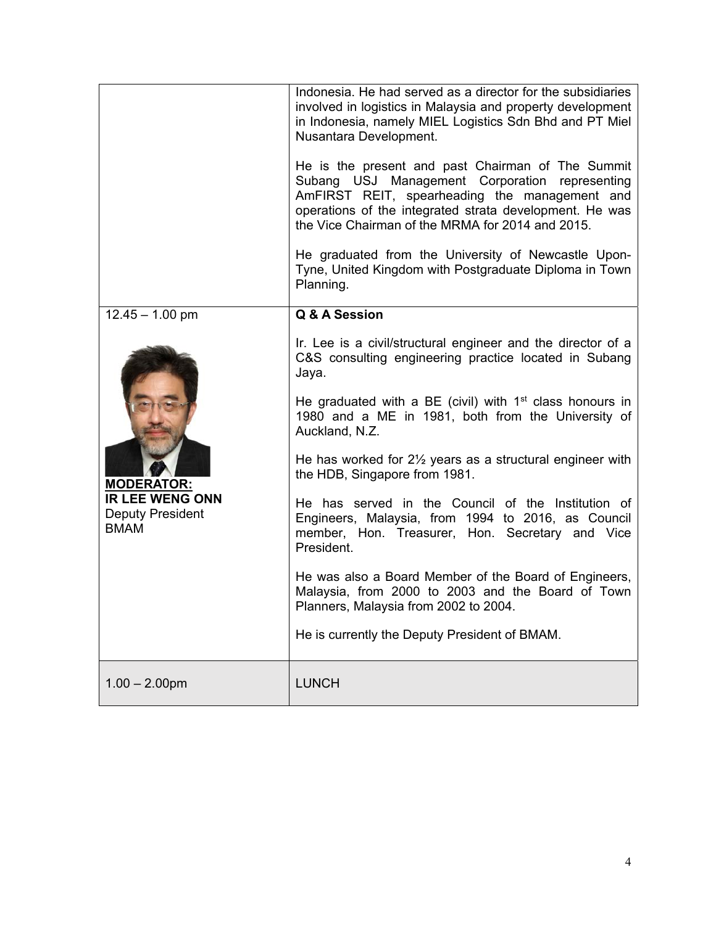|                                                                                                     | Indonesia. He had served as a director for the subsidiaries<br>involved in logistics in Malaysia and property development<br>in Indonesia, namely MIEL Logistics Sdn Bhd and PT Miel<br>Nusantara Development.<br>He is the present and past Chairman of The Summit<br>Subang USJ Management Corporation representing<br>AmFIRST REIT, spearheading the management and<br>operations of the integrated strata development. He was<br>the Vice Chairman of the MRMA for 2014 and 2015.<br>He graduated from the University of Newcastle Upon-<br>Tyne, United Kingdom with Postgraduate Diploma in Town<br>Planning.                                                                                                                                                                 |
|-----------------------------------------------------------------------------------------------------|-------------------------------------------------------------------------------------------------------------------------------------------------------------------------------------------------------------------------------------------------------------------------------------------------------------------------------------------------------------------------------------------------------------------------------------------------------------------------------------------------------------------------------------------------------------------------------------------------------------------------------------------------------------------------------------------------------------------------------------------------------------------------------------|
| $12.45 - 1.00$ pm<br><b>MODERATOR:</b><br><b>IR LEE WENG ONN</b><br>Deputy President<br><b>BMAM</b> | Q & A Session<br>Ir. Lee is a civil/structural engineer and the director of a<br>C&S consulting engineering practice located in Subang<br>Jaya.<br>He graduated with a BE (civil) with $1st$ class honours in<br>1980 and a ME in 1981, both from the University of<br>Auckland, N.Z.<br>He has worked for $2\frac{1}{2}$ years as a structural engineer with<br>the HDB, Singapore from 1981.<br>He has served in the Council of the Institution of<br>Engineers, Malaysia, from 1994 to 2016, as Council<br>member, Hon. Treasurer, Hon. Secretary and Vice<br>President.<br>He was also a Board Member of the Board of Engineers,<br>Malaysia, from 2000 to 2003 and the Board of Town<br>Planners, Malaysia from 2002 to 2004.<br>He is currently the Deputy President of BMAM. |
| $1.00 - 2.00$ pm                                                                                    | <b>LUNCH</b>                                                                                                                                                                                                                                                                                                                                                                                                                                                                                                                                                                                                                                                                                                                                                                        |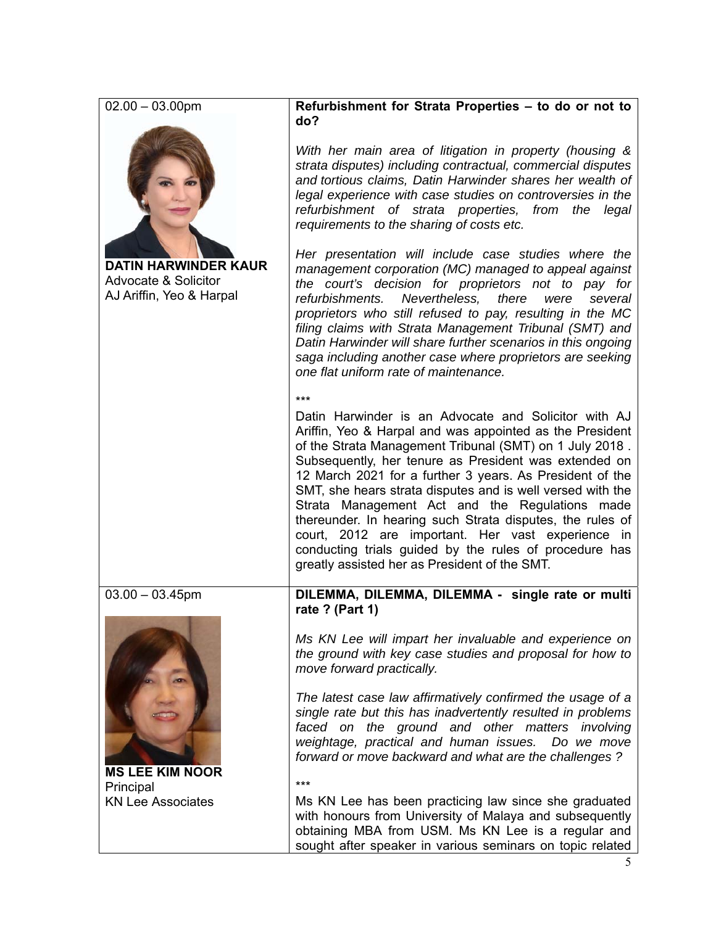| $02.00 - 03.00$ pm                                                                         | Refurbishment for Strata Properties - to do or not to<br>do?                                                                                                                                                                                                                                                                                                                                                                                                                                                                                                                                                                                           |
|--------------------------------------------------------------------------------------------|--------------------------------------------------------------------------------------------------------------------------------------------------------------------------------------------------------------------------------------------------------------------------------------------------------------------------------------------------------------------------------------------------------------------------------------------------------------------------------------------------------------------------------------------------------------------------------------------------------------------------------------------------------|
|                                                                                            | With her main area of litigation in property (housing &<br>strata disputes) including contractual, commercial disputes<br>and tortious claims, Datin Harwinder shares her wealth of<br>legal experience with case studies on controversies in the<br>refurbishment of strata properties, from the<br>legal<br>requirements to the sharing of costs etc.                                                                                                                                                                                                                                                                                                |
| <b>DATIN HARWINDER KAUR</b><br><b>Advocate &amp; Solicitor</b><br>AJ Ariffin, Yeo & Harpal | Her presentation will include case studies where the<br>management corporation (MC) managed to appeal against<br>the court's decision for proprietors not to pay for<br>refurbishments.<br>Nevertheless,<br>there<br>were<br>several<br>proprietors who still refused to pay, resulting in the MC<br>filing claims with Strata Management Tribunal (SMT) and<br>Datin Harwinder will share further scenarios in this ongoing<br>saga including another case where proprietors are seeking<br>one flat uniform rate of maintenance.                                                                                                                     |
|                                                                                            | $***$<br>Datin Harwinder is an Advocate and Solicitor with AJ<br>Ariffin, Yeo & Harpal and was appointed as the President<br>of the Strata Management Tribunal (SMT) on 1 July 2018.<br>Subsequently, her tenure as President was extended on<br>12 March 2021 for a further 3 years. As President of the<br>SMT, she hears strata disputes and is well versed with the<br>Strata Management Act and the Regulations made<br>thereunder. In hearing such Strata disputes, the rules of<br>court, 2012 are important. Her vast experience in<br>conducting trials guided by the rules of procedure has<br>greatly assisted her as President of the SMT. |
| $03.00 - 03.45$ pm                                                                         | DILEMMA, DILEMMA, DILEMMA - single rate or multi                                                                                                                                                                                                                                                                                                                                                                                                                                                                                                                                                                                                       |
| <b>MS LEE KIM NOOR</b>                                                                     | rate ? (Part 1)<br>Ms KN Lee will impart her invaluable and experience on<br>the ground with key case studies and proposal for how to<br>move forward practically.                                                                                                                                                                                                                                                                                                                                                                                                                                                                                     |
|                                                                                            | The latest case law affirmatively confirmed the usage of a<br>single rate but this has inadvertently resulted in problems<br>faced on the ground and other matters involving<br>weightage, practical and human issues.<br>Do we move<br>forward or move backward and what are the challenges?<br>$***$                                                                                                                                                                                                                                                                                                                                                 |
| Principal<br><b>KN Lee Associates</b>                                                      | Ms KN Lee has been practicing law since she graduated<br>with honours from University of Malaya and subsequently<br>obtaining MBA from USM. Ms KN Lee is a regular and<br>sought after speaker in various seminars on topic related                                                                                                                                                                                                                                                                                                                                                                                                                    |